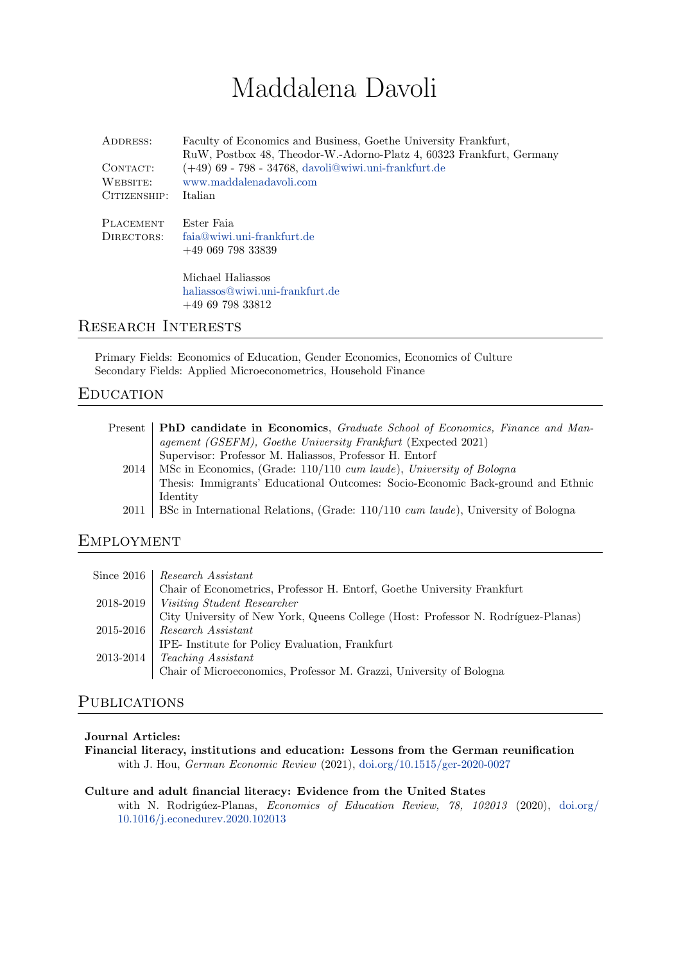# Maddalena Davoli

| ADDRESS:<br>CONTACT:<br>WEBSITE:<br>CITIZENSHIP: | Faculty of Economics and Business, Goethe University Frankfurt,<br>RuW, Postbox 48, Theodor-W.-Adorno-Platz 4, 60323 Frankfurt, Germany<br>$(+49)$ 69 - 798 - 34768, davoli@wiwi.uni-frankfurt.de<br>www.maddalenadavoli.com<br>Italian |
|--------------------------------------------------|-----------------------------------------------------------------------------------------------------------------------------------------------------------------------------------------------------------------------------------------|
| <b>PLACEMENT</b><br>DIRECTORS:                   | Ester Faia<br>$faia@wiwi$ , uni-frankfurt, de<br>$+4906979833839$                                                                                                                                                                       |
|                                                  | Michael Haliassos<br>haliassos@wiwi.uni-frankfurt.de<br>$+496979833812$                                                                                                                                                                 |

## Research Interests

Primary Fields: Economics of Education, Gender Economics, Economics of Culture Secondary Fields: Applied Microeconometrics, Household Finance

# **EDUCATION**

| Present   PhD candidate in Economics, Graduate School of Economics, Finance and Man-     |
|------------------------------------------------------------------------------------------|
| agement (GSEFM), Goethe University Frankfurt (Expected 2021)                             |
| Supervisor: Professor M. Haliassos, Professor H. Entorf                                  |
| 2014   MSc in Economics, (Grade: 110/110 cum laude), University of Bologna               |
| Thesis: Immigrants' Educational Outcomes: Socio-Economic Back-ground and Ethnic          |
| Identity                                                                                 |
| 2011   BSc in International Relations, (Grade: 110/110 cum laude), University of Bologna |
|                                                                                          |

# **EMPLOYMENT**

| Since 2016   Research Assistant                                                   |
|-----------------------------------------------------------------------------------|
| Chair of Econometrics, Professor H. Entorf, Goethe University Frankfurt           |
| 2018-2019   Visiting Student Researcher                                           |
| City University of New York, Queens College (Host: Professor N. Rodríguez-Planas) |
| $2015-2016$ Research Assistant                                                    |
| IPE- Institute for Policy Evaluation, Frankfurt                                   |
| $2013-2014$ Teaching Assistant                                                    |
| Chair of Microeconomics, Professor M. Grazzi, University of Bologna               |

# **PUBLICATIONS**

#### Journal Articles:

Financial literacy, institutions and education: Lessons from the German reunification with J. Hou, German Economic Review (2021), [doi.org/10.1515/ger-2020-0027](https://doi.org/10.1515/ger-2020-0027)

## Culture and adult financial literacy: Evidence from the United States with N. Rodrigúez-Planas, Economics of Education Review,  $\frac{78}{102013}$  (2020), [doi.org/](https://doi.org/10.1016/j.econedurev.2020.102013) [10.1016/j.econedurev.2020.102013](https://doi.org/10.1016/j.econedurev.2020.102013)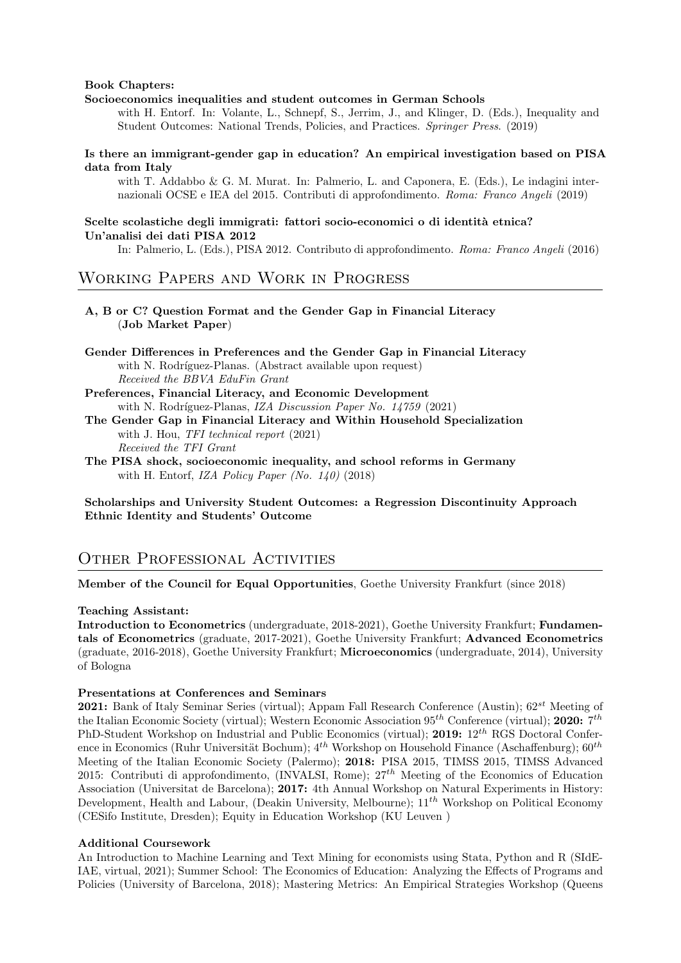#### Book Chapters:

#### Socioeconomics inequalities and student outcomes in German Schools

with H. Entorf. In: Volante, L., Schnepf, S., Jerrim, J., and Klinger, D. (Eds.), Inequality and Student Outcomes: National Trends, Policies, and Practices. Springer Press. (2019)

#### Is there an immigrant-gender gap in education? An empirical investigation based on PISA data from Italy

with T. Addabbo & G. M. Murat. In: Palmerio, L. and Caponera, E. (Eds.), Le indagini internazionali OCSE e IEA del 2015. Contributi di approfondimento. Roma: Franco Angeli (2019)

#### Scelte scolastiche degli immigrati: fattori socio-economici o di identità etnica? Un'analisi dei dati PISA 2012

In: Palmerio, L. (Eds.), PISA 2012. Contributo di approfondimento. Roma: Franco Angeli (2016)

## Working Papers and Work in Progress

#### A, B or C? Question Format and the Gender Gap in Financial Literacy (Job Market Paper)

- Gender Differences in Preferences and the Gender Gap in Financial Literacy with N. Rodríguez-Planas. (Abstract available upon request) Received the BBVA EduFin Grant
- Preferences, Financial Literacy, and Economic Development with N. Rodríguez-Planas, IZA Discussion Paper No.  $14759$  (2021)
- The Gender Gap in Financial Literacy and Within Household Specialization with J. Hou, TFI technical report  $(2021)$ Received the TFI Grant
- The PISA shock, socioeconomic inequality, and school reforms in Germany with H. Entorf, IZA Policy Paper (No.  $140$ ) (2018)

Scholarships and University Student Outcomes: a Regression Discontinuity Approach Ethnic Identity and Students' Outcome

## OTHER PROFESSIONAL ACTIVITIES

Member of the Council for Equal Opportunities, Goethe University Frankfurt (since 2018)

#### Teaching Assistant:

Introduction to Econometrics (undergraduate, 2018-2021), Goethe University Frankfurt; Fundamentals of Econometrics (graduate, 2017-2021), Goethe University Frankfurt; Advanced Econometrics (graduate, 2016-2018), Goethe University Frankfurt; Microeconomics (undergraduate, 2014), University of Bologna

#### Presentations at Conferences and Seminars

**2021:** Bank of Italy Seminar Series (virtual); Appam Fall Research Conference (Austin);  $62^{st}$  Meeting of the Italian Economic Society (virtual); Western Economic Association  $95^{th}$  Conference (virtual); 2020:  $7^{th}$ PhD-Student Workshop on Industrial and Public Economics (virtual); 2019: 12<sup>th</sup> RGS Doctoral Conference in Economics (Ruhr Universität Bochum);  $4^{th}$  Workshop on Household Finance (Aschaffenburg);  $60^{th}$ Meeting of the Italian Economic Society (Palermo); 2018: PISA 2015, TIMSS 2015, TIMSS Advanced 2015: Contributi di approfondimento, (INVALSI, Rome);  $27<sup>th</sup>$  Meeting of the Economics of Education Association (Universitat de Barcelona); 2017: 4th Annual Workshop on Natural Experiments in History: Development, Health and Labour, (Deakin University, Melbourne);  $11^{th}$  Workshop on Political Economy (CESifo Institute, Dresden); Equity in Education Workshop (KU Leuven )

#### Additional Coursework

An Introduction to Machine Learning and Text Mining for economists using Stata, Python and R (SIdE-IAE, virtual, 2021); Summer School: The Economics of Education: Analyzing the Effects of Programs and Policies (University of Barcelona, 2018); Mastering Metrics: An Empirical Strategies Workshop (Queens